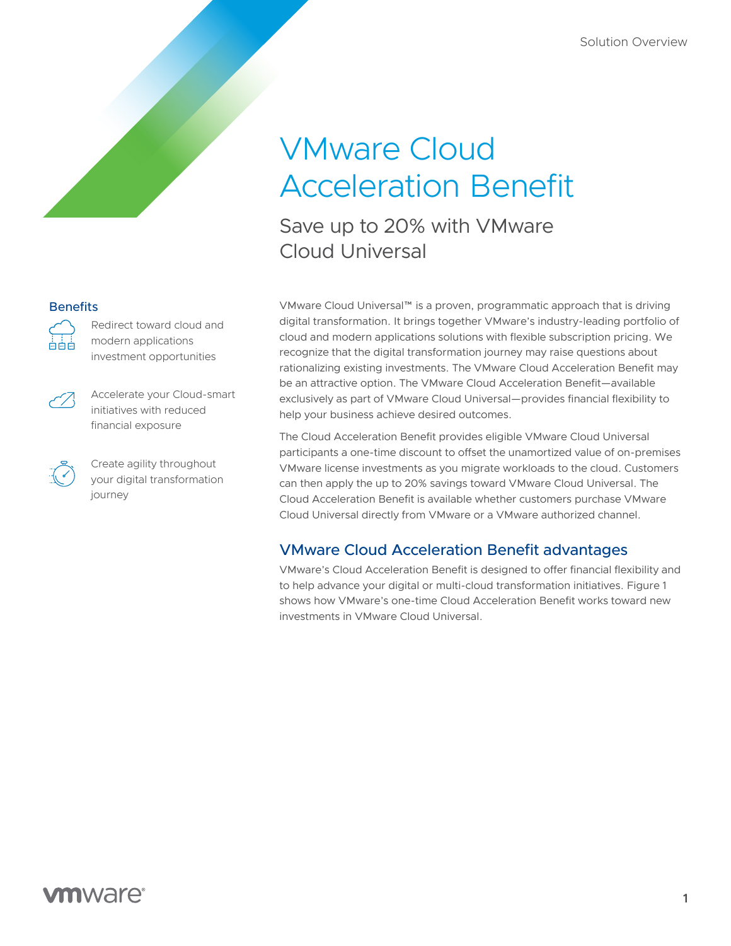# VMware Cloud Acceleration Benefit

Save up to 20% with VMware Cloud Universal

**Benefits** 



Redirect toward cloud and modern applications investment opportunities

Accelerate your Cloud-smart initiatives with reduced financial exposure

Create agility throughout your digital transformation journey

VMware Cloud Universal™ is a proven, programmatic approach that is driving digital transformation. It brings together VMware's industry-leading portfolio of cloud and modern applications solutions with flexible subscription pricing. We recognize that the digital transformation journey may raise questions about rationalizing existing investments. The VMware Cloud Acceleration Benefit may be an attractive option. The VMware Cloud Acceleration Benefit—available exclusively as part of VMware Cloud Universal—provides financial flexibility to help your business achieve desired outcomes.

The Cloud Acceleration Benefit provides eligible VMware Cloud Universal participants a one-time discount to offset the unamortized value of on-premises VMware license investments as you migrate workloads to the cloud. Customers can then apply the up to 20% savings toward VMware Cloud Universal. The Cloud Acceleration Benefit is available whether customers purchase VMware Cloud Universal directly from VMware or a VMware authorized channel.

### VMware Cloud Acceleration Benefit advantages

VMware's Cloud Acceleration Benefit is designed to offer financial flexibility and to help advance your digital or multi-cloud transformation initiatives. Figure 1 shows how VMware's one-time Cloud Acceleration Benefit works toward new investments in VMware Cloud Universal.

## **vm**ware<sup>®</sup>